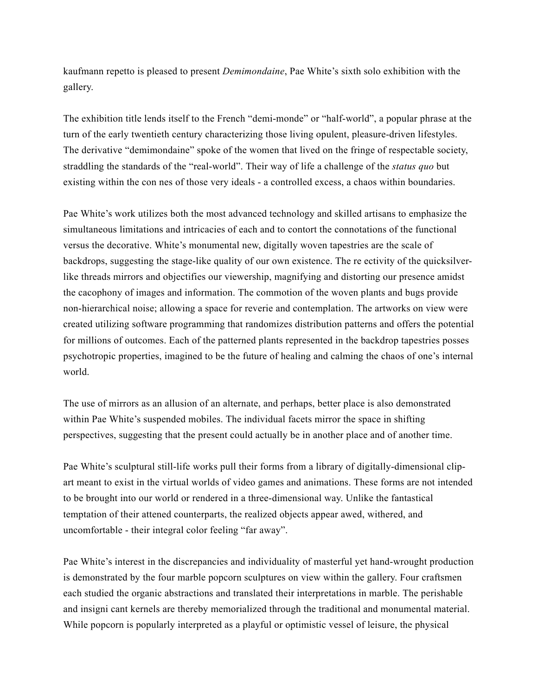kaufmann repetto is pleased to present *Demimondaine*, Pae White's sixth solo exhibition with the gallery.

The exhibition title lends itself to the French "demi-monde" or "half-world", a popular phrase at the turn of the early twentieth century characterizing those living opulent, pleasure-driven lifestyles. The derivative "demimondaine" spoke of the women that lived on the fringe of respectable society, straddling the standards of the "real-world". Their way of life a challenge of the *status quo* but existing within the con nes of those very ideals - a controlled excess, a chaos within boundaries.

Pae White's work utilizes both the most advanced technology and skilled artisans to emphasize the simultaneous limitations and intricacies of each and to contort the connotations of the functional versus the decorative. White's monumental new, digitally woven tapestries are the scale of backdrops, suggesting the stage-like quality of our own existence. The re ectivity of the quicksilverlike threads mirrors and objectifies our viewership, magnifying and distorting our presence amidst the cacophony of images and information. The commotion of the woven plants and bugs provide non-hierarchical noise; allowing a space for reverie and contemplation. The artworks on view were created utilizing software programming that randomizes distribution patterns and offers the potential for millions of outcomes. Each of the patterned plants represented in the backdrop tapestries posses psychotropic properties, imagined to be the future of healing and calming the chaos of one's internal world.

The use of mirrors as an allusion of an alternate, and perhaps, better place is also demonstrated within Pae White's suspended mobiles. The individual facets mirror the space in shifting perspectives, suggesting that the present could actually be in another place and of another time.

Pae White's sculptural still-life works pull their forms from a library of digitally-dimensional clipart meant to exist in the virtual worlds of video games and animations. These forms are not intended to be brought into our world or rendered in a three-dimensional way. Unlike the fantastical temptation of their attened counterparts, the realized objects appear awed, withered, and uncomfortable - their integral color feeling "far away".

Pae White's interest in the discrepancies and individuality of masterful yet hand-wrought production is demonstrated by the four marble popcorn sculptures on view within the gallery. Four craftsmen each studied the organic abstractions and translated their interpretations in marble. The perishable and insigni cant kernels are thereby memorialized through the traditional and monumental material. While popcorn is popularly interpreted as a playful or optimistic vessel of leisure, the physical